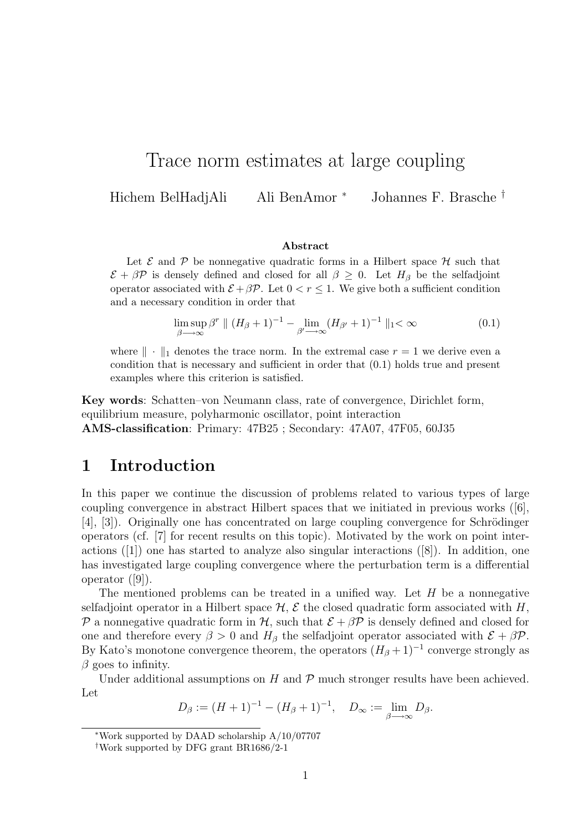# Trace norm estimates at large coupling

Hichem BelHadjAli Ali BenAmor <sup>∗</sup> Johannes F. Brasche †

#### Abstract

Let  $\mathcal E$  and  $\mathcal P$  be nonnegative quadratic forms in a Hilbert space  $\mathcal H$  such that  $\mathcal{E} + \beta \mathcal{P}$  is densely defined and closed for all  $\beta \geq 0$ . Let  $H_{\beta}$  be the selfadjoint operator associated with  $\mathcal{E} + \beta \mathcal{P}$ . Let  $0 < r \leq 1$ . We give both a sufficient condition and a necessary condition in order that

$$
\limsup_{\beta \to \infty} \beta^r \parallel (H_\beta + 1)^{-1} - \lim_{\beta' \to \infty} (H_{\beta'} + 1)^{-1} \parallel_1 < \infty
$$
\n(0.1)

where  $\|\cdot\|_1$  denotes the trace norm. In the extremal case  $r = 1$  we derive even a condition that is necessary and sufficient in order that (0.1) holds true and present examples where this criterion is satisfied.

Key words: Schatten–von Neumann class, rate of convergence, Dirichlet form, equilibrium measure, polyharmonic oscillator, point interaction AMS-classification: Primary: 47B25 ; Secondary: 47A07, 47F05, 60J35

#### 1 Introduction

In this paper we continue the discussion of problems related to various types of large coupling convergence in abstract Hilbert spaces that we initiated in previous works ([6], [4], [3]). Originally one has concentrated on large coupling convergence for Schrödinger operators (cf. [7] for recent results on this topic). Motivated by the work on point interactions ([1]) one has started to analyze also singular interactions ([8]). In addition, one has investigated large coupling convergence where the perturbation term is a differential operator ([9]).

The mentioned problems can be treated in a unified way. Let  $H$  be a nonnegative selfadjoint operator in a Hilbert space  $H, \mathcal{E}$  the closed quadratic form associated with H, P a nonnegative quadratic form in H, such that  $\mathcal{E} + \beta \mathcal{P}$  is densely defined and closed for one and therefore every  $\beta > 0$  and  $H_\beta$  the selfadjoint operator associated with  $\mathcal{E} + \beta \mathcal{P}$ . By Kato's monotone convergence theorem, the operators  $(H_\beta + 1)^{-1}$  converge strongly as  $\beta$  goes to infinity.

Under additional assumptions on  $H$  and  $\mathcal P$  much stronger results have been achieved. Let

$$
D_{\beta} := (H+1)^{-1} - (H_{\beta}+1)^{-1}, \quad D_{\infty} := \lim_{\beta \to \infty} D_{\beta}.
$$

<sup>∗</sup>Work supported by DAAD scholarship A/10/07707

<sup>†</sup>Work supported by DFG grant BR1686/2-1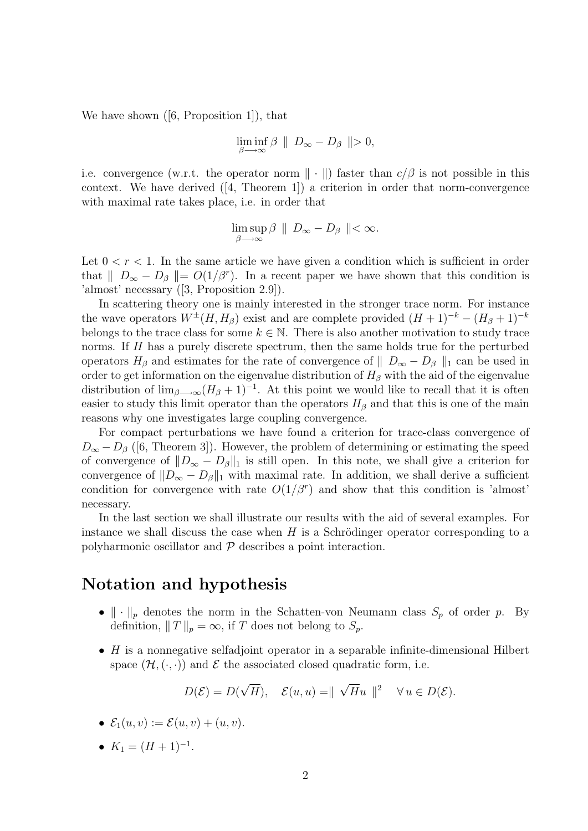We have shown  $([6, Proposition 1])$ , that

$$
\liminf_{\beta \longrightarrow \infty} \beta \parallel D_{\infty} - D_{\beta} \parallel > 0,
$$

i.e. convergence (w.r.t. the operator norm  $\|\cdot\|$ ) faster than  $c/\beta$  is not possible in this context. We have derived ([4, Theorem 1]) a criterion in order that norm-convergence with maximal rate takes place, i.e. in order that

$$
\limsup_{\beta \longrightarrow \infty} \beta \parallel D_{\infty} - D_{\beta} \parallel < \infty.
$$

Let  $0 < r < 1$ . In the same article we have given a condition which is sufficient in order that  $||D_{\infty} - D_{\beta}|| = O(1/\beta^r)$ . In a recent paper we have shown that this condition is 'almost' necessary ([3, Proposition 2.9]).

In scattering theory one is mainly interested in the stronger trace norm. For instance the wave operators  $W^{\pm}(H, H_{\beta})$  exist and are complete provided  $(H + 1)^{-k} - (H_{\beta} + 1)^{-k}$ belongs to the trace class for some  $k \in \mathbb{N}$ . There is also another motivation to study trace norms. If H has a purely discrete spectrum, then the same holds true for the perturbed operators  $H_\beta$  and estimates for the rate of convergence of  $\| D_\infty - D_\beta \|_1$  can be used in order to get information on the eigenvalue distribution of  $H_\beta$  with the aid of the eigenvalue distribution of  $\lim_{\beta\to\infty}(H_\beta+1)^{-1}$ . At this point we would like to recall that it is often easier to study this limit operator than the operators  $H_\beta$  and that this is one of the main reasons why one investigates large coupling convergence.

For compact perturbations we have found a criterion for trace-class convergence of  $D_{\infty} - D_{\beta}$  ([6, Theorem 3]). However, the problem of determining or estimating the speed of convergence of  $||D_{\infty} - D_{\beta}||_1$  is still open. In this note, we shall give a criterion for convergence of  $||D_{\infty} - D_{\beta}||_1$  with maximal rate. In addition, we shall derive a sufficient condition for convergence with rate  $O(1/\beta^r)$  and show that this condition is 'almost' necessary.

In the last section we shall illustrate our results with the aid of several examples. For instance we shall discuss the case when  $H$  is a Schrödinger operator corresponding to a polyharmonic oscillator and  $P$  describes a point interaction.

## Notation and hypothesis

- $\|\cdot\|_p$  denotes the norm in the Schatten-von Neumann class  $S_p$  of order p. By definition,  $||T||_p = \infty$ , if T does not belong to  $S_p$ .
- H is a nonnegative selfadjoint operator in a separable infinite-dimensional Hilbert space  $(\mathcal{H}, (\cdot, \cdot))$  and  $\mathcal E$  the associated closed quadratic form, i.e.

$$
D(\mathcal{E}) = D(\sqrt{H}), \quad \mathcal{E}(u, u) = || \sqrt{H}u ||^2 \quad \forall u \in D(\mathcal{E}).
$$

•  $\mathcal{E}_1(u, v) := \mathcal{E}(u, v) + (u, v).$ 

• 
$$
K_1 = (H+1)^{-1}
$$
.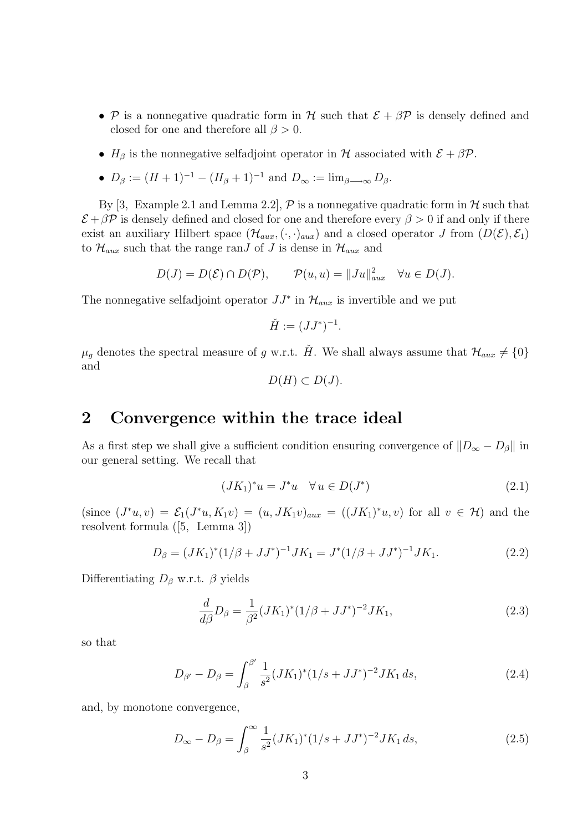- P is a nonnegative quadratic form in H such that  $\mathcal{E} + \beta \mathcal{P}$  is densely defined and closed for one and therefore all  $\beta > 0$ .
- $H_\beta$  is the nonnegative selfadjoint operator in H associated with  $\mathcal{E} + \beta \mathcal{P}$ .
- $D_{\beta} := (H + 1)^{-1} (H_{\beta} + 1)^{-1}$  and  $D_{\infty} := \lim_{\beta \to \infty} D_{\beta}$ .

By [3, Example 2.1 and Lemma 2.2],  $\mathcal{P}$  is a nonnegative quadratic form in  $\mathcal{H}$  such that  $\mathcal{E} + \beta \mathcal{P}$  is densely defined and closed for one and therefore every  $\beta > 0$  if and only if there exist an auxiliary Hilbert space  $(\mathcal{H}_{aux}, (\cdot, \cdot)_{aux})$  and a closed operator J from  $(D(\mathcal{E}), \mathcal{E}_1)$ to  $\mathcal{H}_{aux}$  such that the range ran $J$  of  $J$  is dense in  $\mathcal{H}_{aux}$  and

$$
D(J) = D(\mathcal{E}) \cap D(\mathcal{P}), \qquad \mathcal{P}(u, u) = ||Ju||_{aux}^2 \quad \forall u \in D(J).
$$

The nonnegative selfadjoint operator  $JJ^*$  in  $\mathcal{H}_{aux}$  is invertible and we put

$$
\check{H} := (JJ^*)^{-1}.
$$

 $\mu_g$  denotes the spectral measure of g w.r.t. H. We shall always assume that  $\mathcal{H}_{aux} \neq \{0\}$ and

$$
D(H) \subset D(J).
$$

#### 2 Convergence within the trace ideal

As a first step we shall give a sufficient condition ensuring convergence of  $||D_{\infty} - D_{\beta}||$  in our general setting. We recall that

$$
(JK_1)^*u = J^*u \quad \forall \, u \in D(J^*)
$$
\n<sup>(2.1)</sup>

(since  $(J^*u, v) = \mathcal{E}_1(J^*u, K_1v) = (u, JK_1v)_{aux} = ((JK_1)^*u, v)$  for all  $v \in \mathcal{H}$ ) and the resolvent formula ([5, Lemma 3])

$$
D_{\beta} = (JK_1)^{*}(1/\beta + JJ^{*})^{-1}JK_1 = J^{*}(1/\beta + JJ^{*})^{-1}JK_1.
$$
\n(2.2)

Differentiating  $D_\beta$  w.r.t.  $\beta$  yields

$$
\frac{d}{d\beta}D_{\beta} = \frac{1}{\beta^2} (JK_1)^* (1/\beta + JJ^*)^{-2} JK_1,
$$
\n(2.3)

so that

$$
D_{\beta'} - D_{\beta} = \int_{\beta}^{\beta'} \frac{1}{s^2} (JK_1)^* (1/s + JJ^*)^{-2} JK_1 ds,
$$
\n(2.4)

and, by monotone convergence,

$$
D_{\infty} - D_{\beta} = \int_{\beta}^{\infty} \frac{1}{s^2} (JK_1)^* (1/s + JJ^*)^{-2} JK_1 ds,
$$
\n(2.5)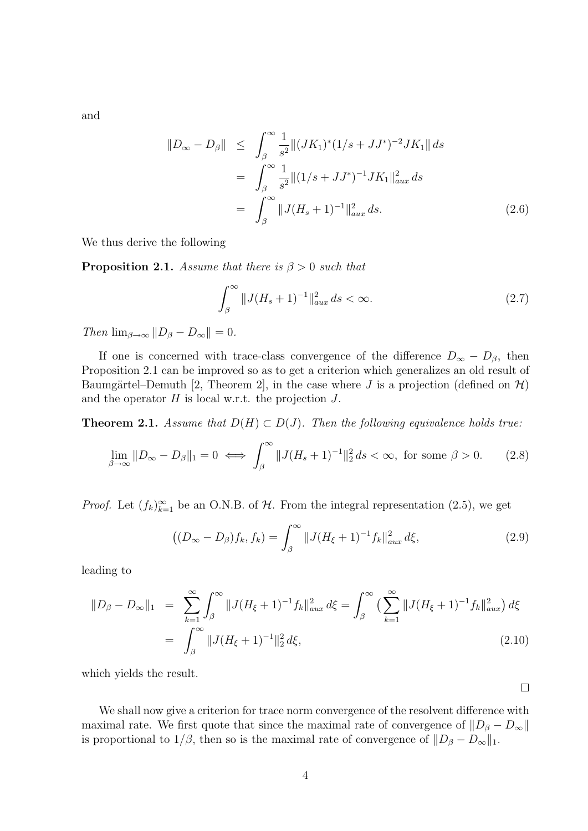and

$$
\|D_{\infty} - D_{\beta}\| \leq \int_{\beta}^{\infty} \frac{1}{s^2} \|(JK_1)^*(1/s + JJ^*)^{-2}JK_1\| ds
$$
  
= 
$$
\int_{\beta}^{\infty} \frac{1}{s^2} \|(1/s + JJ^*)^{-1}JK_1\|_{aux}^2 ds
$$
  
= 
$$
\int_{\beta}^{\infty} \|J(H_s + 1)^{-1}\|_{aux}^2 ds.
$$
 (2.6)

We thus derive the following

**Proposition 2.1.** Assume that there is  $\beta > 0$  such that

$$
\int_{\beta}^{\infty} \|J(H_s + 1)^{-1}\|_{aux}^2 ds < \infty.
$$
 (2.7)

Then  $\lim_{\beta \to \infty} ||D_{\beta} - D_{\infty}|| = 0.$ 

If one is concerned with trace-class convergence of the difference  $D_{\infty} - D_{\beta}$ , then Proposition 2.1 can be improved so as to get a criterion which generalizes an old result of Baumgärtel–Demuth [2, Theorem 2], in the case where J is a projection (defined on  $\mathcal{H}$ ) and the operator  $H$  is local w.r.t. the projection  $J$ .

**Theorem 2.1.** Assume that  $D(H) \subset D(J)$ . Then the following equivalence holds true:

$$
\lim_{\beta \to \infty} ||D_{\infty} - D_{\beta}||_1 = 0 \iff \int_{\beta}^{\infty} ||J(H_s + 1)^{-1}||_2^2 ds < \infty, \text{ for some } \beta > 0. \tag{2.8}
$$

*Proof.* Let  $(f_k)_{k=1}^{\infty}$  be an O.N.B. of H. From the integral representation (2.5), we get

$$
((D_{\infty} - D_{\beta})f_k, f_k) = \int_{\beta}^{\infty} ||J(H_{\xi} + 1)^{-1}f_k||_{aux}^2 d\xi,
$$
\n(2.9)

leading to

$$
||D_{\beta} - D_{\infty}||_1 = \sum_{k=1}^{\infty} \int_{\beta}^{\infty} ||J(H_{\xi} + 1)^{-1} f_k||_{aux}^2 d\xi = \int_{\beta}^{\infty} \left( \sum_{k=1}^{\infty} ||J(H_{\xi} + 1)^{-1} f_k||_{aux}^2 \right) d\xi
$$
  
= 
$$
\int_{\beta}^{\infty} ||J(H_{\xi} + 1)^{-1}||_2^2 d\xi,
$$
 (2.10)

which yields the result.

 $\Box$ 

We shall now give a criterion for trace norm convergence of the resolvent difference with maximal rate. We first quote that since the maximal rate of convergence of  $||D_\beta - D_\infty||$ is proportional to  $1/\beta$ , then so is the maximal rate of convergence of  $||D_{\beta} - D_{\infty}||_1$ .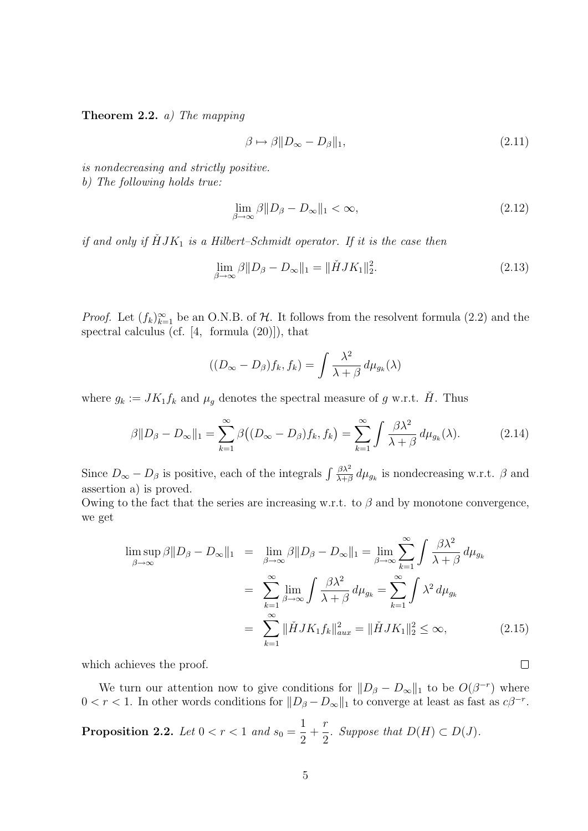**Theorem 2.2.** a) The mapping

$$
\beta \mapsto \beta \| D_{\infty} - D_{\beta} \|_{1}, \tag{2.11}
$$

is nondecreasing and strictly positive. b) The following holds true:

$$
\lim_{\beta \to \infty} \beta \| D_{\beta} - D_{\infty} \|_1 < \infty,\tag{2.12}
$$

if and only if  $\check{H}JK_1$  is a Hilbert-Schmidt operator. If it is the case then

$$
\lim_{\beta \to \infty} \beta \| D_{\beta} - D_{\infty} \|_1 = \| \check{H} J K_1 \|_2^2.
$$
\n(2.13)

*Proof.* Let  $(f_k)_{k=1}^{\infty}$  be an O.N.B. of H. It follows from the resolvent formula (2.2) and the spectral calculus (cf. [4, formula (20)]), that

$$
((D_{\infty} - D_{\beta})f_k, f_k) = \int \frac{\lambda^2}{\lambda + \beta} d\mu_{g_k}(\lambda)
$$

where  $g_k := JK_1f_k$  and  $\mu_g$  denotes the spectral measure of g w.r.t.  $\check{H}$ . Thus

$$
\beta \|D_{\beta} - D_{\infty}\|_1 = \sum_{k=1}^{\infty} \beta \big( (D_{\infty} - D_{\beta}) f_k, f_k \big) = \sum_{k=1}^{\infty} \int \frac{\beta \lambda^2}{\lambda + \beta} d\mu_{g_k}(\lambda). \tag{2.14}
$$

Since  $D_{\infty} - D_{\beta}$  is positive, each of the integrals  $\int \frac{\beta \lambda^2}{\lambda + \beta}$  $\frac{\beta \lambda^2}{\lambda + \beta} d\mu_{g_k}$  is nondecreasing w.r.t.  $\beta$  and assertion a) is proved.

Owing to the fact that the series are increasing w.r.t. to  $\beta$  and by monotone convergence, we get

$$
\limsup_{\beta \to \infty} \beta \| D_{\beta} - D_{\infty} \|_1 = \lim_{\beta \to \infty} \beta \| D_{\beta} - D_{\infty} \|_1 = \lim_{\beta \to \infty} \sum_{k=1}^{\infty} \int \frac{\beta \lambda^2}{\lambda + \beta} d\mu_{g_k}
$$

$$
= \sum_{k=1}^{\infty} \lim_{\beta \to \infty} \int \frac{\beta \lambda^2}{\lambda + \beta} d\mu_{g_k} = \sum_{k=1}^{\infty} \int \lambda^2 d\mu_{g_k}
$$

$$
= \sum_{k=1}^{\infty} \| \check{H} J K_1 f_k \|_{aux}^2 = \| \check{H} J K_1 \|_2^2 \le \infty,
$$
(2.15)

 $\Box$ 

which achieves the proof.

We turn our attention now to give conditions for  $||D_{\beta} - D_{\infty}||_1$  to be  $O(\beta^{-r})$  where  $0 < r < 1$ . In other words conditions for  $||D_{\beta} - D_{\infty}||_1$  to converge at least as fast as  $c\beta^{-r}$ .

**Proposition 2.2.** Let 
$$
0 < r < 1
$$
 and  $s_0 = \frac{1}{2} + \frac{r}{2}$ . Suppose that  $D(H) \subset D(J)$ .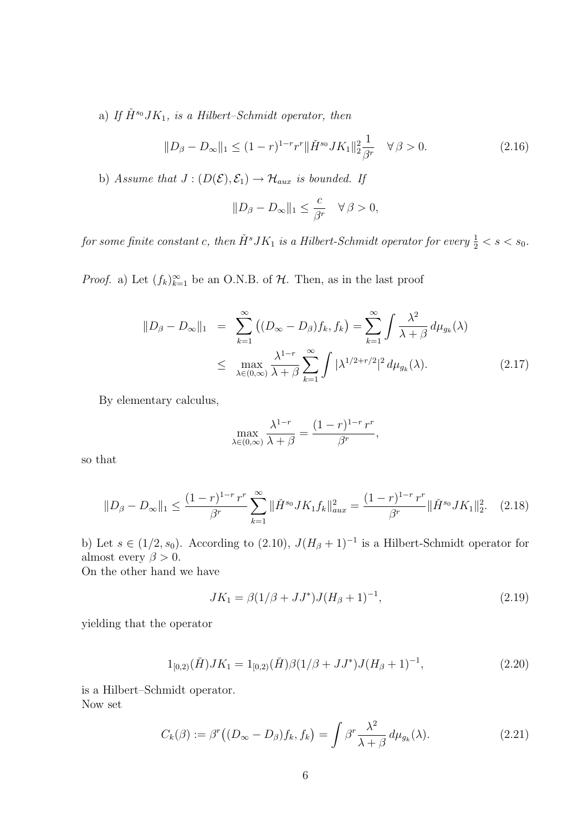a) If  $\check{H}^{s_0}JK_1$ , is a Hilbert–Schmidt operator, then

$$
||D_{\beta} - D_{\infty}||_1 \le (1 - r)^{1 - r} r^{r} ||\check{H}^{s_0} J K_1||_2^2 \frac{1}{\beta^r} \quad \forall \beta > 0.
$$
 (2.16)

b) Assume that  $J : (D(\mathcal{E}), \mathcal{E}_1) \to \mathcal{H}_{aux}$  is bounded. If

$$
||D_{\beta} - D_{\infty}||_1 \le \frac{c}{\beta^r} \quad \forall \beta > 0,
$$

for some finite constant c, then  $\check{H}^sJK_1$  is a Hilbert-Schmidt operator for every  $\frac{1}{2} < s < s_0$ .

*Proof.* a) Let  $(f_k)_{k=1}^{\infty}$  be an O.N.B. of  $H$ . Then, as in the last proof

$$
||D_{\beta} - D_{\infty}||_1 = \sum_{k=1}^{\infty} ((D_{\infty} - D_{\beta})f_k, f_k) = \sum_{k=1}^{\infty} \int \frac{\lambda^2}{\lambda + \beta} d\mu_{g_k}(\lambda)
$$
  

$$
\leq \max_{\lambda \in (0, \infty)} \frac{\lambda^{1-r}}{\lambda + \beta} \sum_{k=1}^{\infty} \int |\lambda^{1/2+r/2}|^2 d\mu_{g_k}(\lambda).
$$
 (2.17)

By elementary calculus,

$$
\max_{\lambda \in (0,\infty)} \frac{\lambda^{1-r}}{\lambda + \beta} = \frac{(1-r)^{1-r}r^r}{\beta^r},
$$

so that

$$
||D_{\beta} - D_{\infty}||_1 \le \frac{(1-r)^{1-r}r^r}{\beta^r} \sum_{k=1}^{\infty} ||\check{H}^{s_0}JK_1f_k||_{aux}^2 = \frac{(1-r)^{1-r}r^r}{\beta^r} ||\check{H}^{s_0}JK_1||_2^2. \tag{2.18}
$$

b) Let  $s \in (1/2, s_0)$ . According to  $(2.10)$ ,  $J(H_\beta + 1)^{-1}$  is a Hilbert-Schmidt operator for almost every  $\beta > 0$ .

On the other hand we have

$$
JK_1 = \beta(1/\beta + JJ^*)J(H_\beta + 1)^{-1},\tag{2.19}
$$

yielding that the operator

$$
1_{[0,2)}(\check{H})JK_1 = 1_{[0,2)}(\check{H})\beta(1/\beta + JJ^*)J(H_\beta + 1)^{-1},\tag{2.20}
$$

is a Hilbert–Schmidt operator. Now set

$$
C_k(\beta) := \beta^r \big( (D_{\infty} - D_{\beta}) f_k, f_k \big) = \int \beta^r \frac{\lambda^2}{\lambda + \beta} d\mu_{g_k}(\lambda). \tag{2.21}
$$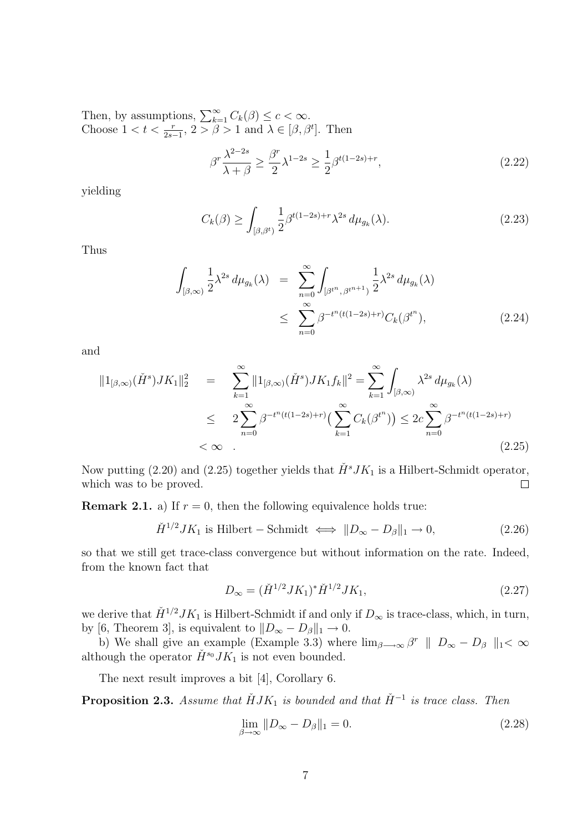Then, by assumptions,  $\sum_{k=1}^{\infty} C_k(\beta) \leq c < \infty$ . Choose  $1 < t < \frac{r}{2s-1}$ ,  $2 > \beta > 1$  and  $\lambda \in [\beta, \beta^t]$ . Then

$$
\beta^r \frac{\lambda^{2-2s}}{\lambda + \beta} \ge \frac{\beta^r}{2} \lambda^{1-2s} \ge \frac{1}{2} \beta^{t(1-2s)+r},\tag{2.22}
$$

yielding

$$
C_k(\beta) \ge \int_{[\beta,\beta^t)} \frac{1}{2} \beta^{t(1-2s)+r} \lambda^{2s} d\mu_{g_k}(\lambda). \tag{2.23}
$$

Thus

$$
\int_{[\beta,\infty)} \frac{1}{2} \lambda^{2s} d\mu_{g_k}(\lambda) = \sum_{n=0}^{\infty} \int_{[\beta^{t^n}, \beta^{t^{n+1}}]} \frac{1}{2} \lambda^{2s} d\mu_{g_k}(\lambda)
$$
\n
$$
\leq \sum_{n=0}^{\infty} \beta^{-t^n (t(1-2s)+r)} C_k(\beta^{t^n}), \tag{2.24}
$$

and

$$
||1_{[\beta,\infty)}(\check{H}^s)JK_1||_2^2 = \sum_{k=1}^{\infty} ||1_{[\beta,\infty)}(\check{H}^s)JK_1f_k||^2 = \sum_{k=1}^{\infty} \int_{[\beta,\infty)} \lambda^{2s} d\mu_{g_k}(\lambda)
$$
  

$$
\leq 2 \sum_{n=0}^{\infty} \beta^{-t^n(t(1-2s)+r)} \Big( \sum_{k=1}^{\infty} C_k(\beta^{t^n}) \Big) \leq 2c \sum_{n=0}^{\infty} \beta^{-t^n(t(1-2s)+r)}
$$
  

$$
< \infty
$$
 (2.25)

Now putting (2.20) and (2.25) together yields that  $\check{H}^sJK_1$  is a Hilbert-Schmidt operator, which was to be proved.  $\Box$ 

**Remark 2.1.** a) If  $r = 0$ , then the following equivalence holds true:

$$
\check{H}^{1/2}JK_1 \text{ is Hilbert} - \text{Schmidt} \iff \|D_{\infty} - D_{\beta}\|_1 \to 0,\tag{2.26}
$$

so that we still get trace-class convergence but without information on the rate. Indeed, from the known fact that

$$
D_{\infty} = (\check{H}^{1/2}JK_1)^* \check{H}^{1/2}JK_1,
$$
\n(2.27)

we derive that  $\check{H}^{1/2}JK_1$  is Hilbert-Schmidt if and only if  $D_{\infty}$  is trace-class, which, in turn, by [6, Theorem 3], is equivalent to  $||D_{\infty} - D_{\beta}||_1 \rightarrow 0$ .

b) We shall give an example (Example 3.3) where  $\lim_{\beta\to\infty} \beta^r \parallel D_{\infty} - D_{\beta} \parallel_1 < \infty$ although the operator  $\check{H}^{s_0} J K_1$  is not even bounded.

The next result improves a bit [4], Corollary 6.

**Proposition 2.3.** Assume that  $\check{H}JK_1$  is bounded and that  $\check{H}^{-1}$  is trace class. Then

$$
\lim_{\beta \to \infty} ||D_{\infty} - D_{\beta}||_1 = 0. \tag{2.28}
$$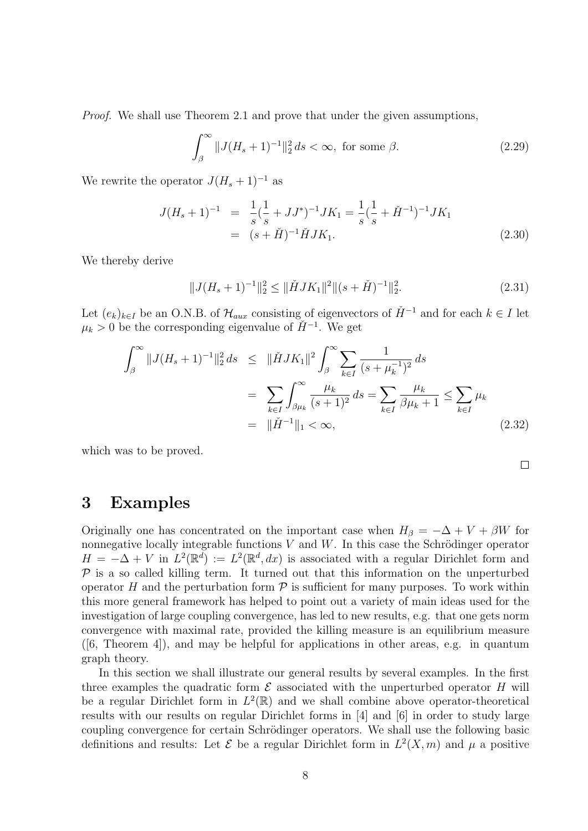Proof. We shall use Theorem 2.1 and prove that under the given assumptions,

$$
\int_{\beta}^{\infty} \|J(H_s + 1)^{-1}\|_2^2 ds < \infty, \text{ for some } \beta. \tag{2.29}
$$

We rewrite the operator  $J(H_s + 1)^{-1}$  as

$$
J(H_s + 1)^{-1} = \frac{1}{s} (\frac{1}{s} + JJ^*)^{-1} JK_1 = \frac{1}{s} (\frac{1}{s} + \check{H}^{-1})^{-1} JK_1
$$
  
=  $(s + \check{H})^{-1} \check{H} JK_1.$  (2.30)

We thereby derive

$$
||J(H_s+1)^{-1}||_2^2 \le ||\check{H}JK_1||^2 ||(s+\check{H})^{-1}||_2^2.
$$
 (2.31)

 $\Box$ 

Let  $(e_k)_{k\in I}$  be an O.N.B. of  $\mathcal{H}_{aux}$  consisting of eigenvectors of  $\check{H}^{-1}$  and for each  $k \in I$  let  $\mu_k > 0$  be the corresponding eigenvalue of  $\check{H}^{-1}$ . We get

$$
\int_{\beta}^{\infty} \|J(H_s+1)^{-1}\|_{2}^{2} ds \leq \|\check{H}JK_1\|^{2} \int_{\beta}^{\infty} \sum_{k \in I} \frac{1}{(s+\mu_{k}^{-1})^{2}} ds
$$

$$
= \sum_{k \in I} \int_{\beta\mu_{k}}^{\infty} \frac{\mu_{k}}{(s+1)^{2}} ds = \sum_{k \in I} \frac{\mu_{k}}{\beta\mu_{k}+1} \leq \sum_{k \in I} \mu_{k}
$$

$$
= \|\check{H}^{-1}\|_{1} < \infty, \tag{2.32}
$$

which was to be proved.

#### 3 Examples

Originally one has concentrated on the important case when  $H_\beta = -\Delta + V + \beta W$  for nonnegative locally integrable functions  $V$  and  $W$ . In this case the Schrödinger operator  $H = -\Delta + V$  in  $L^2(\mathbb{R}^d) := L^2(\mathbb{R}^d, dx)$  is associated with a regular Dirichlet form and  $P$  is a so called killing term. It turned out that this information on the unperturbed operator H and the perturbation form  $P$  is sufficient for many purposes. To work within this more general framework has helped to point out a variety of main ideas used for the investigation of large coupling convergence, has led to new results, e.g. that one gets norm convergence with maximal rate, provided the killing measure is an equilibrium measure  $([6, Theorem 4])$ , and may be helpful for applications in other areas, e.g. in quantum graph theory.

In this section we shall illustrate our general results by several examples. In the first three examples the quadratic form  $\mathcal E$  associated with the unperturbed operator  $H$  will be a regular Dirichlet form in  $L^2(\mathbb{R})$  and we shall combine above operator-theoretical results with our results on regular Dirichlet forms in [4] and [6] in order to study large coupling convergence for certain Schrödinger operators. We shall use the following basic definitions and results: Let  $\mathcal E$  be a regular Dirichlet form in  $L^2(X, m)$  and  $\mu$  a positive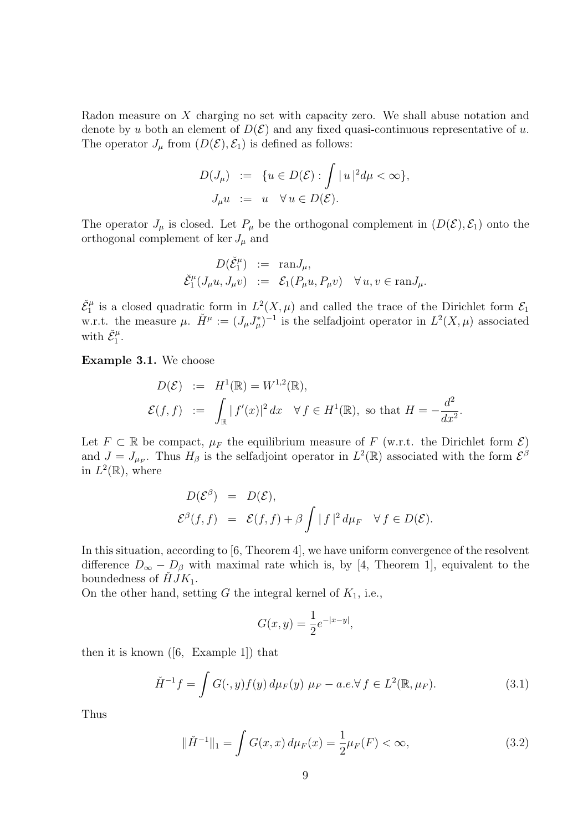Radon measure on X charging no set with capacity zero. We shall abuse notation and denote by u both an element of  $D(\mathcal{E})$  and any fixed quasi-continuous representative of u. The operator  $J_{\mu}$  from  $(D(\mathcal{E}), \mathcal{E}_1)$  is defined as follows:

$$
D(J_{\mu}) := \{ u \in D(\mathcal{E}) : \int |u|^2 d\mu < \infty \},
$$
  

$$
J_{\mu}u := u \quad \forall u \in D(\mathcal{E}).
$$

The operator  $J_\mu$  is closed. Let  $P_\mu$  be the orthogonal complement in  $(D(\mathcal{E}), \mathcal{E}_1)$  onto the orthogonal complement of ker  $J_{\mu}$  and

$$
D(\check{\mathcal{E}}_1^{\mu}) := \text{ran} J_{\mu},
$$
  

$$
\check{\mathcal{E}}_1^{\mu}(J_{\mu}u, J_{\mu}v) := \mathcal{E}_1(P_{\mu}u, P_{\mu}v) \quad \forall u, v \in \text{ran} J_{\mu}.
$$

 $\check{\mathcal{E}}_1^{\mu}$  is a closed quadratic form in  $L^2(X,\mu)$  and called the trace of the Dirichlet form  $\mathcal{E}_1$ w.r.t. the measure  $\mu$ .  $\check{H}^{\mu} := (J_{\mu}J_{\mu}^{*})^{-1}$  is the selfadjoint operator in  $L^{2}(X,\mu)$  associated with  $\check{\mathcal{E}}_1^{\mu}$ .

Example 3.1. We choose

$$
D(\mathcal{E}) := H^1(\mathbb{R}) = W^{1,2}(\mathbb{R}),
$$
  

$$
\mathcal{E}(f, f) := \int_{\mathbb{R}} |f'(x)|^2 dx \quad \forall f \in H^1(\mathbb{R}), \text{ so that } H = -\frac{d^2}{dx^2}.
$$

Let  $F \subset \mathbb{R}$  be compact,  $\mu_F$  the equilibrium measure of F (w.r.t. the Dirichlet form  $\mathcal{E}$ ) and  $J = J_{\mu_F}$ . Thus  $H_\beta$  is the selfadjoint operator in  $L^2(\mathbb{R})$  associated with the form  $\mathcal{E}^{\beta}$ in  $L^2(\mathbb{R})$ , where

$$
D(\mathcal{E}^{\beta}) = D(\mathcal{E}),
$$
  

$$
\mathcal{E}^{\beta}(f, f) = \mathcal{E}(f, f) + \beta \int |f|^{2} d\mu_{F} \quad \forall f \in D(\mathcal{E}).
$$

In this situation, according to [6, Theorem 4], we have uniform convergence of the resolvent difference  $D_{\infty} - D_{\beta}$  with maximal rate which is, by [4, Theorem 1], equivalent to the boundedness of  $\check{H}JK_1$ .

On the other hand, setting G the integral kernel of  $K_1$ , i.e.,

$$
G(x, y) = \frac{1}{2}e^{-|x-y|},
$$

then it is known ([6, Example 1]) that

$$
\check{H}^{-1}f = \int G(\cdot, y)f(y) d\mu_F(y) \mu_F - a.e. \forall f \in L^2(\mathbb{R}, \mu_F). \tag{3.1}
$$

Thus

$$
\|\check{H}^{-1}\|_1 = \int G(x, x) \, d\mu_F(x) = \frac{1}{2} \mu_F(F) < \infty,\tag{3.2}
$$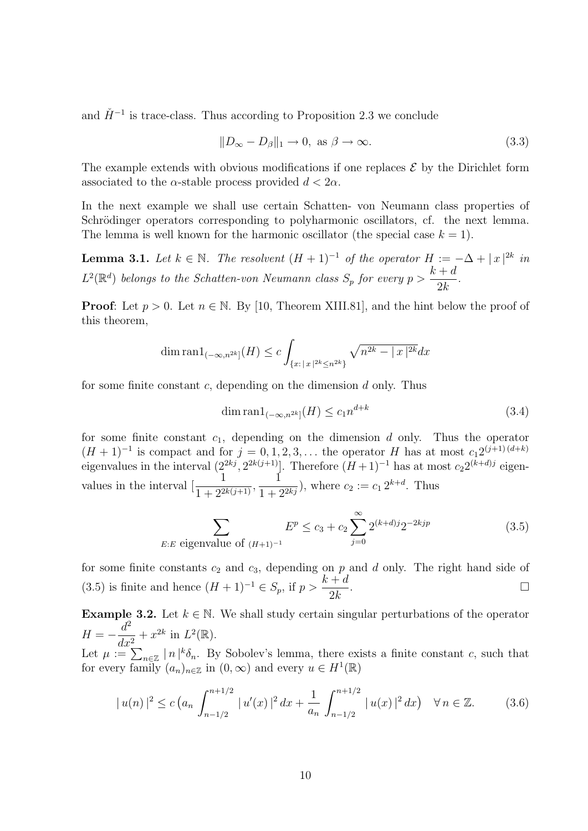and  $\check{H}^{-1}$  is trace-class. Thus according to Proposition 2.3 we conclude

$$
||D_{\infty} - D_{\beta}||_1 \to 0, \text{ as } \beta \to \infty.
$$
\n(3.3)

The example extends with obvious modifications if one replaces  $\mathcal E$  by the Dirichlet form associated to the  $\alpha$ -stable process provided  $d < 2\alpha$ .

In the next example we shall use certain Schatten- von Neumann class properties of Schrödinger operators corresponding to polyharmonic oscillators, cf. the next lemma. The lemma is well known for the harmonic oscillator (the special case  $k = 1$ ).

**Lemma 3.1.** Let  $k \in \mathbb{N}$ . The resolvent  $(H + 1)^{-1}$  of the operator  $H := -\Delta + |x|^{2k}$  in  $L^2(\mathbb{R}^d)$  belongs to the Schatten-von Neumann class  $S_p$  for every  $p >$  $k + d$  $2k$ .

**Proof:** Let  $p > 0$ . Let  $n \in \mathbb{N}$ . By [10, Theorem XIII.81], and the hint below the proof of this theorem,

$$
\dim \operatorname{ran} 1_{(-\infty, n^{2k}]}(H) \le c \int_{\{x : |x|^{2k} \le n^{2k}\}} \sqrt{n^{2k} - |x|^{2k}} dx
$$

for some finite constant  $c$ , depending on the dimension  $d$  only. Thus

$$
\dim \operatorname{ran} 1_{(-\infty, n^{2k}]}(H) \le c_1 n^{d+k} \tag{3.4}
$$

for some finite constant  $c_1$ , depending on the dimension d only. Thus the operator  $(H + 1)^{-1}$  is compact and for  $j = 0, 1, 2, 3, \ldots$  the operator H has at most  $c_1 2^{(j+1)(d+k)}$ eigenvalues in the interval  $(2^{2kj}, 2^{2k(j+1)}]$ . Therefore  $(H+1)^{-1}$  has at most  $c_2 2^{(k+d)j}$  eigenvalues in the interval  $\left[\frac{1}{1+e^{2}}\right]$  $\frac{1}{1+2^{2k(j+1)}},$ 1  $\frac{1}{1+2^{2kj}}$ , where  $c_2 := c_1 2^{k+d}$ . Thus

$$
\sum_{E:E \text{ eigenvalue of } (H+1)^{-1}} E^p \le c_3 + c_2 \sum_{j=0}^{\infty} 2^{(k+d)j} 2^{-2kjp}
$$
 (3.5)

for some finite constants  $c_2$  and  $c_3$ , depending on p and d only. The right hand side of (3.5) is finite and hence  $(H + 1)^{-1} \in S_p$ , if  $p > \frac{k + d}{2k}$  $2k$ .

Example 3.2. Let  $k \in \mathbb{N}$ . We shall study certain singular perturbations of the operator  $H = -\frac{d^2}{dt^2}$  $dx^2$ +  $x^{2k}$  in  $L^2(\mathbb{R})$ . Let  $\mu := \sum_{n \in \mathbb{Z}} |n|^{k} \delta_n$ . By Sobolev's lemma, there exists a finite constant c, such that for every family  $(a_n)_{n\in\mathbb{Z}}$  in  $(0,\infty)$  and every  $u \in H^1(\mathbb{R})$ 

$$
|u(n)|^2 \le c \left(a_n \int_{n-1/2}^{n+1/2} |u'(x)|^2 dx + \frac{1}{a_n} \int_{n-1/2}^{n+1/2} |u(x)|^2 dx\right) \quad \forall n \in \mathbb{Z}.
$$
 (3.6)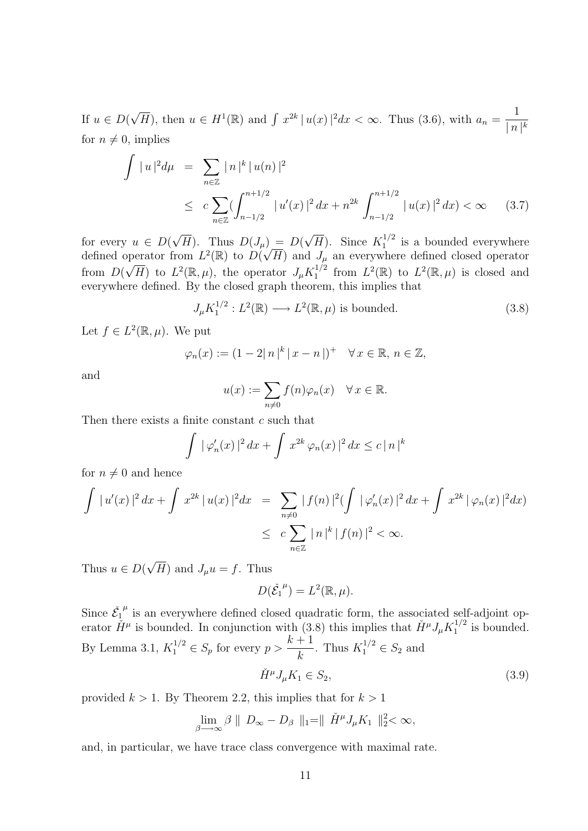If  $u \in D$ ( √  $\overline{H}$ , then  $u \in H^1(\mathbb{R})$  and  $\int x^{2k} |u(x)|^2 dx < \infty$ . Thus (3.6), with  $a_n = \frac{1}{\ln n}$  $\lfloor n \rfloor^k$ for  $n \neq 0$ , implies

$$
\int |u|^2 d\mu = \sum_{n \in \mathbb{Z}} |n|^k |u(n)|^2
$$
  
\n
$$
\leq c \sum_{n \in \mathbb{Z}} (\int_{n-1/2}^{n+1/2} |u'(x)|^2 dx + n^{2k} \int_{n-1/2}^{n+1/2} |u(x)|^2 dx) < \infty
$$
 (3.7)

for every  $u \in D$  $(H)$ . Thus  $D(J_\mu) = D(f)$  $\overline{H}$ ). Since  $K_1^{1/2}$  $i_1^{1/2}$  is a bounded everywhere for every  $u \in D(\sqrt{H})$ . Thus  $D(J_{\mu})$ <br>defined operator from  $L^2(\mathbb{R})$  to  $D(\sqrt{H})$ H) and  $J_{\mu}$  an everywhere defined closed operator from  $D($ ∤بر<br>∕  $\overline{H}$ ) to  $L^2(\mathbb{R}, \mu)$ , the operator  $J_{\mu}K_1^{1/2}$  $L^2(\mathbb{R})$  to  $L^2(\mathbb{R}, \mu)$  is closed and everywhere defined. By the closed graph theorem, this implies that

$$
J_{\mu}K_1^{1/2}: L^2(\mathbb{R}) \longrightarrow L^2(\mathbb{R}, \mu) \text{ is bounded.}
$$
 (3.8)

Let  $f \in L^2(\mathbb{R}, \mu)$ . We put

$$
\varphi_n(x) := (1 - 2|n|^k |x - n|)^+ \quad \forall x \in \mathbb{R}, n \in \mathbb{Z},
$$

and

$$
u(x) := \sum_{n \neq 0} f(n)\varphi_n(x) \quad \forall x \in \mathbb{R}.
$$

Then there exists a finite constant c such that

$$
\int |\varphi'_n(x)|^2 dx + \int x^{2k} \varphi_n(x)|^2 dx \leq c |n|^k
$$

for  $n \neq 0$  and hence

$$
\int |u'(x)|^2 dx + \int x^{2k} |u(x)|^2 dx = \sum_{n \neq 0} |f(n)|^2 (\int |\varphi'_n(x)|^2 dx + \int x^{2k} |\varphi_n(x)|^2 dx)
$$
  

$$
\leq c \sum_{n \in \mathbb{Z}} |n|^k |f(n)|^2 < \infty.
$$

Thus  $u \in D$ ( √ H) and  $J_{\mu}u = f$ . Thus

$$
D(\check{\mathcal{E}_1}^{\mu})=L^2(\mathbb{R},\mu).
$$

Since  $\check{\mathcal{E}}_1$  $\mu$  is an everywhere defined closed quadratic form, the associated self-adjoint operator  $\check{H}^{\mu}$  is bounded. In conjunction with (3.8) this implies that  $\check{H}^{\mu}J_{\mu}K_1^{1/2}$  $i_1^{1/2}$  is bounded. By Lemma 3.1,  $K_1^{1/2} \in S_p$  for every  $p > \frac{k+1}{k}$ k . Thus  $K_1^{1/2} \in S_2$  and

$$
\check{H}^{\mu}J_{\mu}K_1 \in S_2,\tag{3.9}
$$

provided  $k > 1$ . By Theorem 2.2, this implies that for  $k > 1$ 

$$
\lim_{\beta \longrightarrow \infty} \beta \parallel D_{\infty} - D_{\beta} \parallel_1 = \parallel \check{H}^{\mu} J_{\mu} K_1 \parallel_2^2 < \infty,
$$

and, in particular, we have trace class convergence with maximal rate.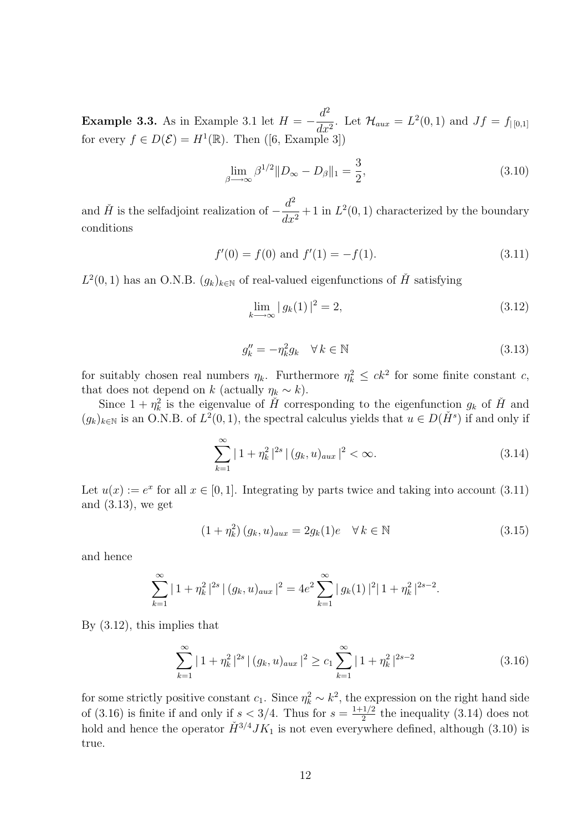**Example 3.3.** As in Example 3.1 let  $H = -\frac{d^2}{dt^2}$  $\frac{d}{dx^2}$ . Let  $\mathcal{H}_{aux} = L^2(0,1)$  and  $Jf = f_{|[0,1]}$ for every  $f \in D(\mathcal{E}) = H^1(\mathbb{R})$ . Then  $([6, \text{Example 3}])$ 

$$
\lim_{\beta \to \infty} \beta^{1/2} \| D_{\infty} - D_{\beta} \|_{1} = \frac{3}{2},
$$
\n(3.10)

and  $\check{H}$  is the selfadjoint realization of  $-\frac{d^2}{dt^2}$  $\frac{u}{dx^2}$  + 1 in  $L^2(0,1)$  characterized by the boundary conditions

$$
f'(0) = f(0) \text{ and } f'(1) = -f(1). \tag{3.11}
$$

 $L^2(0,1)$  has an O.N.B.  $(g_k)_{k\in\mathbb{N}}$  of real-valued eigenfunctions of  $\check{H}$  satisfying

$$
\lim_{k \to \infty} |g_k(1)|^2 = 2,
$$
\n(3.12)

$$
g_k'' = -\eta_k^2 g_k \quad \forall \, k \in \mathbb{N} \tag{3.13}
$$

for suitably chosen real numbers  $\eta_k$ . Furthermore  $\eta_k^2 \leq ck^2$  for some finite constant c, that does not depend on k (actually  $\eta_k \sim k$ ).

Since  $1 + \eta_k^2$  is the eigenvalue of  $\check{H}$  corresponding to the eigenfunction  $g_k$  of  $\check{H}$  and  $(g_k)_{k\in\mathbb{N}}$  is an O.N.B. of  $L^2(0,1)$ , the spectral calculus yields that  $u \in D(\check{H}^s)$  if and only if

$$
\sum_{k=1}^{\infty} |1 + \eta_k^2|^{2s} |(g_k, u)_{aux}|^2 < \infty.
$$
\n(3.14)

Let  $u(x) := e^x$  for all  $x \in [0,1]$ . Integrating by parts twice and taking into account (3.11) and (3.13), we get

$$
(1 + \eta_k^2) (g_k, u)_{aux} = 2g_k(1)e \quad \forall \, k \in \mathbb{N}
$$
\n(3.15)

and hence

$$
\sum_{k=1}^{\infty} |1 + \eta_k^2|^{2s} |(g_k, u)_{aux}|^2 = 4e^2 \sum_{k=1}^{\infty} |g_k(1)|^2 |1 + \eta_k^2|^{2s-2}.
$$

By (3.12), this implies that

$$
\sum_{k=1}^{\infty} |1 + \eta_k^2|^{2s} |(g_k, u)_{aux}|^2 \ge c_1 \sum_{k=1}^{\infty} |1 + \eta_k^2|^{2s-2}
$$
\n(3.16)

for some strictly positive constant  $c_1$ . Since  $\eta_k^2 \sim k^2$ , the expression on the right hand side of (3.16) is finite if and only if  $s < 3/4$ . Thus for  $s = \frac{1+1/2}{2}$  $\frac{1}{2}$  the inequality (3.14) does not hold and hence the operator  $\check{H}^{3/4}JK_1$  is not even everywhere defined, although (3.10) is true.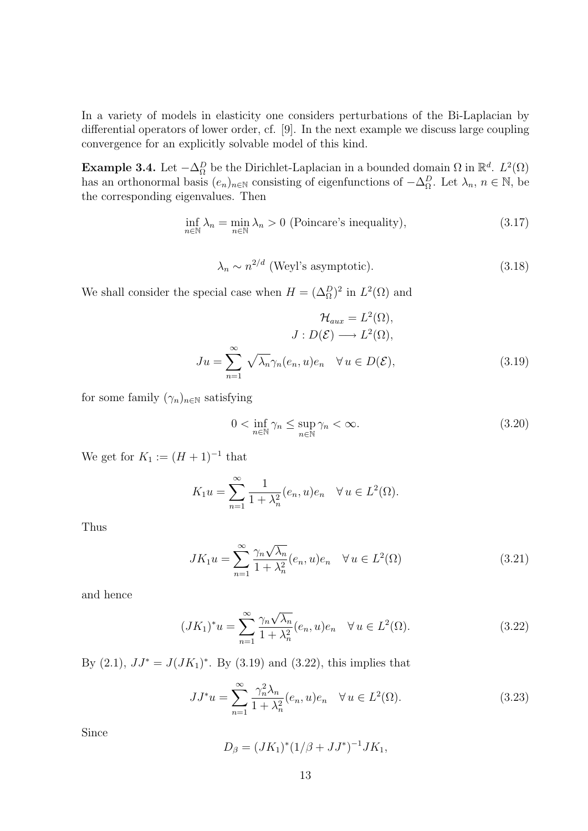In a variety of models in elasticity one considers perturbations of the Bi-Laplacian by differential operators of lower order, cf. [9]. In the next example we discuss large coupling convergence for an explicitly solvable model of this kind.

Example 3.4. Let  $-\Delta_{\Omega}^D$  be the Dirichlet-Laplacian in a bounded domain  $\Omega$  in  $\mathbb{R}^d$ .  $L^2(\Omega)$ has an orthonormal basis  $(e_n)_{n\in\mathbb{N}}$  consisting of eigenfunctions of  $-\Delta_{\Omega}^D$ . Let  $\lambda_n$ ,  $n \in \mathbb{N}$ , be the corresponding eigenvalues. Then

$$
\inf_{n \in \mathbb{N}} \lambda_n = \min_{n \in \mathbb{N}} \lambda_n > 0 \text{ (Poincare's inequality)},\tag{3.17}
$$

$$
\lambda_n \sim n^{2/d} \text{ (Weyl's asymptotic)}.
$$
\n(3.18)

We shall consider the special case when  $H = (\Delta_{\Omega}^D)^2$  in  $L^2(\Omega)$  and

$$
\mathcal{H}_{aux} = L^2(\Omega),
$$

$$
J: D(\mathcal{E}) \longrightarrow L^2(\Omega),
$$

$$
Ju = \sum_{n=1}^{\infty} \sqrt{\lambda_n} \gamma_n(e_n, u)e_n \quad \forall u \in D(\mathcal{E}),
$$
(3.19)

for some family  $(\gamma_n)_{n\in\mathbb{N}}$  satisfying

$$
0 < \inf_{n \in \mathbb{N}} \gamma_n \le \sup_{n \in \mathbb{N}} \gamma_n < \infty. \tag{3.20}
$$

We get for  $K_1 := (H + 1)^{-1}$  that

$$
K_1 u = \sum_{n=1}^{\infty} \frac{1}{1 + \lambda_n^2} (e_n, u) e_n \quad \forall u \in L^2(\Omega).
$$

Thus

$$
JK_1u = \sum_{n=1}^{\infty} \frac{\gamma_n \sqrt{\lambda_n}}{1 + \lambda_n^2} (e_n, u)e_n \quad \forall u \in L^2(\Omega)
$$
 (3.21)

and hence

$$
(JK_1)^*u = \sum_{n=1}^{\infty} \frac{\gamma_n \sqrt{\lambda_n}}{1 + \lambda_n^2} (e_n, u)e_n \quad \forall u \in L^2(\Omega).
$$
 (3.22)

By  $(2.1)$ ,  $JJ^* = J(JK_1)^*$ . By  $(3.19)$  and  $(3.22)$ , this implies that

$$
JJ^*u = \sum_{n=1}^{\infty} \frac{\gamma_n^2 \lambda_n}{1 + \lambda_n^2} (e_n, u) e_n \quad \forall u \in L^2(\Omega).
$$
 (3.23)

Since

$$
D_{\beta} = (JK_1)^{*}(1/\beta + JJ^{*})^{-1}JK_1,
$$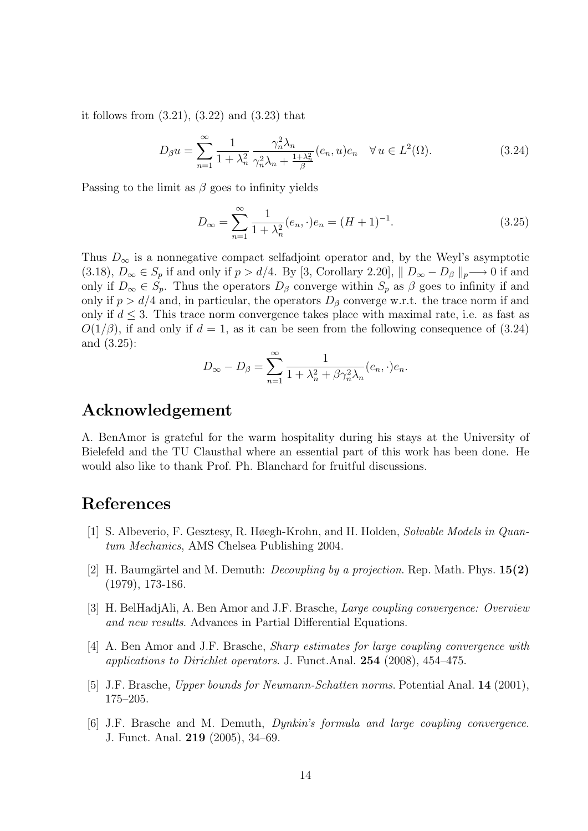it follows from (3.21), (3.22) and (3.23) that

$$
D_{\beta}u = \sum_{n=1}^{\infty} \frac{1}{1 + \lambda_n^2} \frac{\gamma_n^2 \lambda_n}{\gamma_n^2 \lambda_n + \frac{1 + \lambda_n^2}{\beta}} (e_n, u) e_n \quad \forall u \in L^2(\Omega). \tag{3.24}
$$

Passing to the limit as  $\beta$  goes to infinity yields

$$
D_{\infty} = \sum_{n=1}^{\infty} \frac{1}{1 + \lambda_n^2} (e_n, \cdot) e_n = (H + 1)^{-1}.
$$
 (3.25)

Thus  $D_{\infty}$  is a nonnegative compact selfadjoint operator and, by the Weyl's asymptotic (3.18),  $D_{\infty} \in S_p$  if and only if  $p > d/4$ . By [3, Corollary 2.20],  $|| D_{\infty} - D_{\beta} ||_p \longrightarrow 0$  if and only if  $D_{\infty} \in S_p$ . Thus the operators  $D_{\beta}$  converge within  $S_p$  as  $\beta$  goes to infinity if and only if  $p > d/4$  and, in particular, the operators  $D_\beta$  converge w.r.t. the trace norm if and only if  $d \leq 3$ . This trace norm convergence takes place with maximal rate, i.e. as fast as  $O(1/\beta)$ , if and only if  $d = 1$ , as it can be seen from the following consequence of (3.24) and (3.25):

$$
D_{\infty} - D_{\beta} = \sum_{n=1}^{\infty} \frac{1}{1 + \lambda_n^2 + \beta \gamma_n^2 \lambda_n} (e_n, \cdot) e_n.
$$

### Acknowledgement

A. BenAmor is grateful for the warm hospitality during his stays at the University of Bielefeld and the TU Clausthal where an essential part of this work has been done. He would also like to thank Prof. Ph. Blanchard for fruitful discussions.

# References

- [1] S. Albeverio, F. Gesztesy, R. Høegh-Krohn, and H. Holden, Solvable Models in Quantum Mechanics, AMS Chelsea Publishing 2004.
- [2] H. Baumgärtel and M. Demuth: *Decoupling by a projection*. Rep. Math. Phys.  $15(2)$ (1979), 173-186.
- [3] H. BelHadjAli, A. Ben Amor and J.F. Brasche, Large coupling convergence: Overview and new results. Advances in Partial Differential Equations.
- [4] A. Ben Amor and J.F. Brasche, Sharp estimates for large coupling convergence with applications to Dirichlet operators. J. Funct.Anal. 254 (2008), 454–475.
- [5] J.F. Brasche, Upper bounds for Neumann-Schatten norms. Potential Anal. 14 (2001), 175–205.
- [6] J.F. Brasche and M. Demuth, Dynkin's formula and large coupling convergence. J. Funct. Anal. 219 (2005), 34–69.